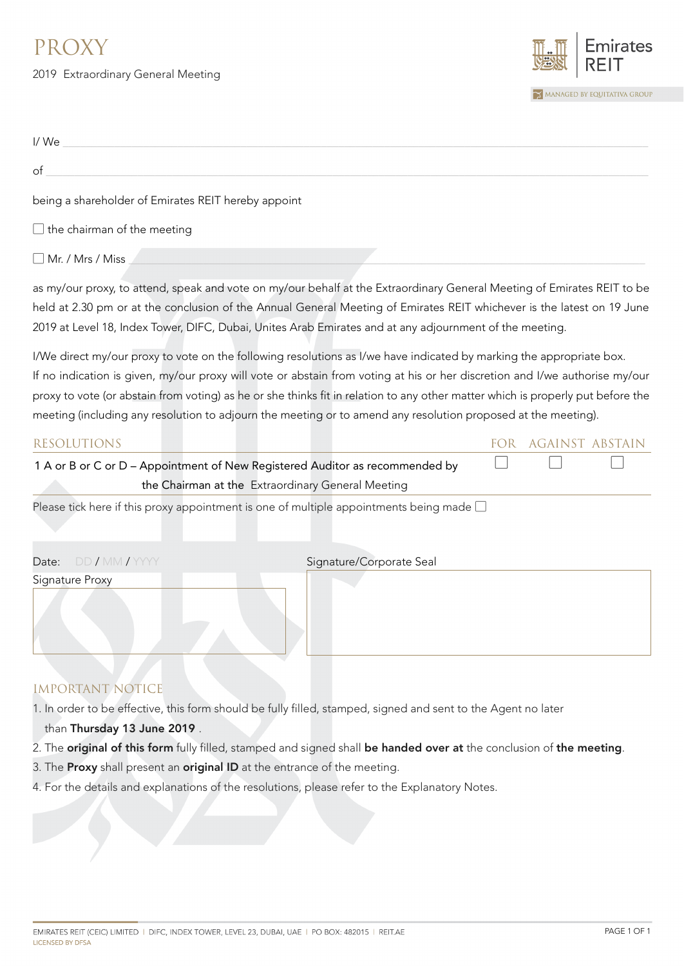## PROXY

2019 Extraordinary General Meeting



| I/We                                                                                                                                                                                                                                                                                                                                                         |                          |            |                        |  |
|--------------------------------------------------------------------------------------------------------------------------------------------------------------------------------------------------------------------------------------------------------------------------------------------------------------------------------------------------------------|--------------------------|------------|------------------------|--|
| of                                                                                                                                                                                                                                                                                                                                                           |                          |            |                        |  |
| being a shareholder of Emirates REIT hereby appoint                                                                                                                                                                                                                                                                                                          |                          |            |                        |  |
| $\Box$ the chairman of the meeting                                                                                                                                                                                                                                                                                                                           |                          |            |                        |  |
| Mr. / Mrs / Miss                                                                                                                                                                                                                                                                                                                                             |                          |            |                        |  |
| as my/our proxy, to attend, speak and vote on my/our behalf at the Extraordinary General Meeting of Emirates REIT to be<br>held at 2.30 pm or at the conclusion of the Annual General Meeting of Emirates REIT whichever is the latest on 19 June<br>2019 at Level 18, Index Tower, DIFC, Dubai, Unites Arab Emirates and at any adjournment of the meeting. |                          |            |                        |  |
| I/We direct my/our proxy to vote on the following resolutions as I/we have indicated by marking the appropriate box.                                                                                                                                                                                                                                         |                          |            |                        |  |
| If no indication is given, my/our proxy will vote or abstain from voting at his or her discretion and I/we authorise my/our                                                                                                                                                                                                                                  |                          |            |                        |  |
| proxy to vote (or abstain from voting) as he or she thinks fit in relation to any other matter which is properly put before the                                                                                                                                                                                                                              |                          |            |                        |  |
| meeting (including any resolution to adjourn the meeting or to amend any resolution proposed at the meeting).                                                                                                                                                                                                                                                |                          |            |                        |  |
| <b>RESOLUTIONS</b>                                                                                                                                                                                                                                                                                                                                           |                          | <b>FOR</b> | <b>AGAINST ABSTAIN</b> |  |
| 1 A or B or C or D - Appointment of New Registered Auditor as recommended by                                                                                                                                                                                                                                                                                 |                          |            |                        |  |
| the Chairman at the Extraordinary General Meeting                                                                                                                                                                                                                                                                                                            |                          |            |                        |  |
| Please tick here if this proxy appointment is one of multiple appointments being made $\square$                                                                                                                                                                                                                                                              |                          |            |                        |  |
| DD / MM / YYYY<br>Date:                                                                                                                                                                                                                                                                                                                                      | Signature/Corporate Seal |            |                        |  |
| Signature Proxy                                                                                                                                                                                                                                                                                                                                              |                          |            |                        |  |

## IMPORTANT NOTICE

- 1. In order to be effective, this form should be fully filled, stamped, signed and sent to the Agent no later than Thursday 13 June 2019 .
- 2. The original of this form fully filled, stamped and signed shall be handed over at the conclusion of the meeting.
- 3. The Proxy shall present an original ID at the entrance of the meeting.
- 4. For the details and explanations of the resolutions, please refer to the Explanatory Notes.